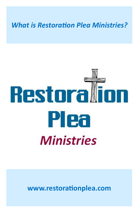#### *What is Restoration Plea Ministries?*

# Restoral **DN** Plea **Ministries**

**www.restorationplea.com**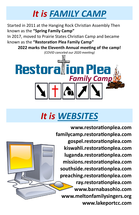#### *It is FAMILY CAMP*

Started in 2011 at the Hanging Rock Christian Assembly Then known as the **"Spring Family Camp"**

In 2017, moved to Prairie States Christian Camp and became known as the **"Restoration Plea Family Camp"**

**2022 marks the Eleventh Annual meeting of the camp!**

*(COVID canceled our 2020 meeting)*



#### *It is WEBSITES*

**www.restorationplea.com familycamp.restorationplea.com gospel.restorationplea.com kiswahli.restorationplea.com luganda.restorationplea.com missions.restorationplea.com southside.restorationplea.com preaching.restorationplea.com ray.restorationplea.com www.barnabasohio.com www.meltonfamilysingers.org www.lakeportcc.com**

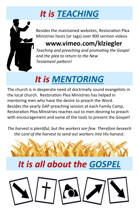# *It is TEACHING*



Besides the maintained websites, Restoration Plea Ministries hosts (or tags) over 900 sermon videos

#### **www.vimeo.com/klziegler**

*Teaching and preaching and promoting the Gospel and the plea to return to the New Testament pattern!*

# *It is MENTORING*

The church is in desperate need of doctrinally sound evangelists in the local church. Restoration Plea Ministries has helped in mentoring men who have the desire to preach the Word. Besides the yearly GAP preaching session at each Family Camp, Restoration Plea Ministries reaches out to men desiring to preach with encouragement and some of the tools to present the Gospel!

*The harvest is plentiful, but the workers are few. Therefore beseech the Lord of the harvest to send out workers into His harvest.*



### *It is all about the GOSPEL*